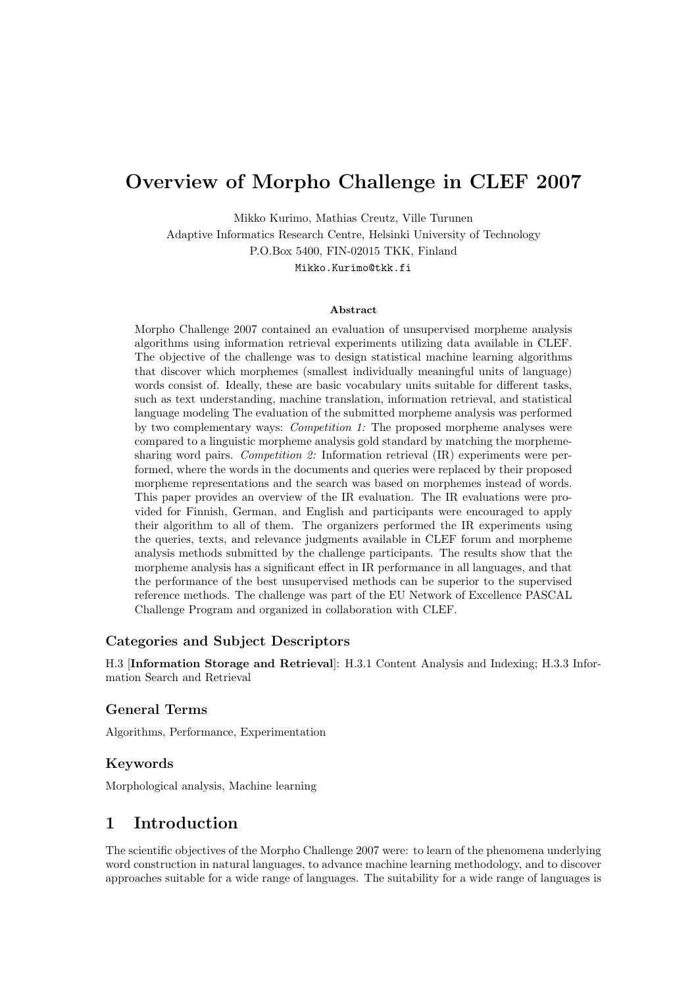# Overview of Morpho Challenge in CLEF 2007

Mikko Kurimo, Mathias Creutz, Ville Turunen Adaptive Informatics Research Centre, Helsinki University of Technology P.O.Box 5400, FIN-02015 TKK, Finland

Mikko.Kurimo@tkk.fi

#### Abstract

Morpho Challenge 2007 contained an evaluation of unsupervised morpheme analysis algorithms using information retrieval experiments utilizing data available in CLEF. The objective of the challenge was to design statistical machine learning algorithms that discover which morphemes (smallest individually meaningful units of language) words consist of. Ideally, these are basic vocabulary units suitable for different tasks, such as text understanding, machine translation, information retrieval, and statistical language modeling The evaluation of the submitted morpheme analysis was performed by two complementary ways: Competition 1: The proposed morpheme analyses were compared to a linguistic morpheme analysis gold standard by matching the morphemesharing word pairs. Competition 2: Information retrieval (IR) experiments were performed, where the words in the documents and queries were replaced by their proposed morpheme representations and the search was based on morphemes instead of words. This paper provides an overview of the IR evaluation. The IR evaluations were provided for Finnish, German, and English and participants were encouraged to apply their algorithm to all of them. The organizers performed the IR experiments using the queries, texts, and relevance judgments available in CLEF forum and morpheme analysis methods submitted by the challenge participants. The results show that the morpheme analysis has a significant effect in IR performance in all languages, and that the performance of the best unsupervised methods can be superior to the supervised reference methods. The challenge was part of the EU Network of Excellence PASCAL Challenge Program and organized in collaboration with CLEF.

#### Categories and Subject Descriptors

H.3 [Information Storage and Retrieval]: H.3.1 Content Analysis and Indexing; H.3.3 Information Search and Retrieval

#### General Terms

Algorithms, Performance, Experimentation

#### Keywords

Morphological analysis, Machine learning

### 1 Introduction

The scientific objectives of the Morpho Challenge 2007 were: to learn of the phenomena underlying word construction in natural languages, to advance machine learning methodology, and to discover approaches suitable for a wide range of languages. The suitability for a wide range of languages is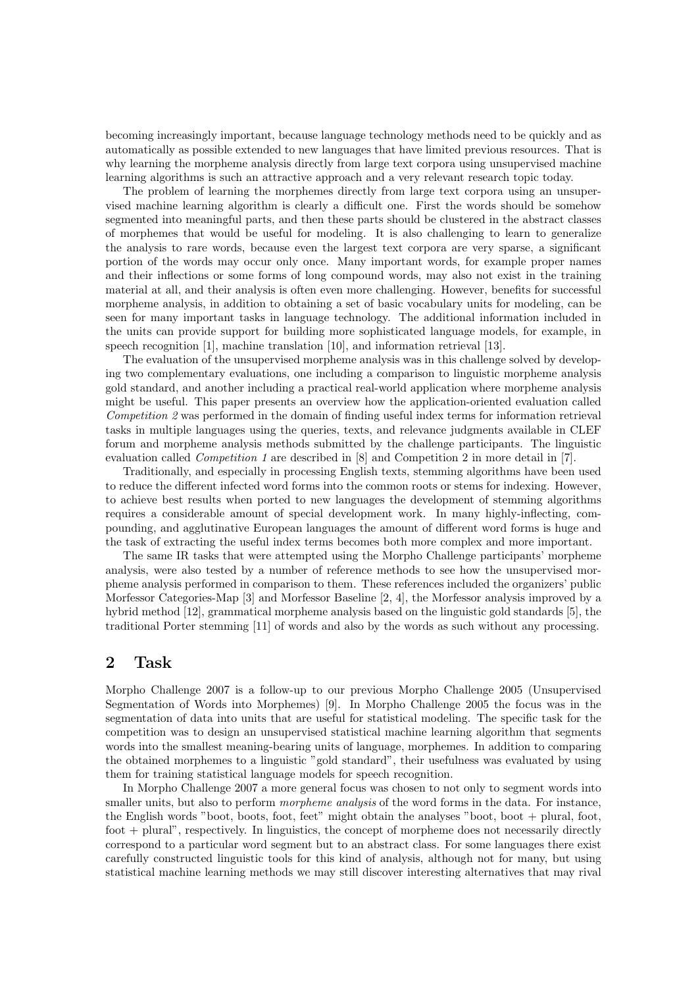becoming increasingly important, because language technology methods need to be quickly and as automatically as possible extended to new languages that have limited previous resources. That is why learning the morpheme analysis directly from large text corpora using unsupervised machine learning algorithms is such an attractive approach and a very relevant research topic today.

The problem of learning the morphemes directly from large text corpora using an unsupervised machine learning algorithm is clearly a difficult one. First the words should be somehow segmented into meaningful parts, and then these parts should be clustered in the abstract classes of morphemes that would be useful for modeling. It is also challenging to learn to generalize the analysis to rare words, because even the largest text corpora are very sparse, a significant portion of the words may occur only once. Many important words, for example proper names and their inflections or some forms of long compound words, may also not exist in the training material at all, and their analysis is often even more challenging. However, benefits for successful morpheme analysis, in addition to obtaining a set of basic vocabulary units for modeling, can be seen for many important tasks in language technology. The additional information included in the units can provide support for building more sophisticated language models, for example, in speech recognition [1], machine translation [10], and information retrieval [13].

The evaluation of the unsupervised morpheme analysis was in this challenge solved by developing two complementary evaluations, one including a comparison to linguistic morpheme analysis gold standard, and another including a practical real-world application where morpheme analysis might be useful. This paper presents an overview how the application-oriented evaluation called Competition 2 was performed in the domain of finding useful index terms for information retrieval tasks in multiple languages using the queries, texts, and relevance judgments available in CLEF forum and morpheme analysis methods submitted by the challenge participants. The linguistic evaluation called Competition 1 are described in [8] and Competition 2 in more detail in [7].

Traditionally, and especially in processing English texts, stemming algorithms have been used to reduce the different infected word forms into the common roots or stems for indexing. However, to achieve best results when ported to new languages the development of stemming algorithms requires a considerable amount of special development work. In many highly-inflecting, compounding, and agglutinative European languages the amount of different word forms is huge and the task of extracting the useful index terms becomes both more complex and more important.

The same IR tasks that were attempted using the Morpho Challenge participants' morpheme analysis, were also tested by a number of reference methods to see how the unsupervised morpheme analysis performed in comparison to them. These references included the organizers' public Morfessor Categories-Map [3] and Morfessor Baseline [2, 4], the Morfessor analysis improved by a hybrid method [12], grammatical morpheme analysis based on the linguistic gold standards [5], the traditional Porter stemming [11] of words and also by the words as such without any processing.

# 2 Task

Morpho Challenge 2007 is a follow-up to our previous Morpho Challenge 2005 (Unsupervised Segmentation of Words into Morphemes) [9]. In Morpho Challenge 2005 the focus was in the segmentation of data into units that are useful for statistical modeling. The specific task for the competition was to design an unsupervised statistical machine learning algorithm that segments words into the smallest meaning-bearing units of language, morphemes. In addition to comparing the obtained morphemes to a linguistic "gold standard", their usefulness was evaluated by using them for training statistical language models for speech recognition.

In Morpho Challenge 2007 a more general focus was chosen to not only to segment words into smaller units, but also to perform *morpheme analysis* of the word forms in the data. For instance, the English words "boot, boots, foot, feet" might obtain the analyses "boot, boot + plural, foot, foot + plural", respectively. In linguistics, the concept of morpheme does not necessarily directly correspond to a particular word segment but to an abstract class. For some languages there exist carefully constructed linguistic tools for this kind of analysis, although not for many, but using statistical machine learning methods we may still discover interesting alternatives that may rival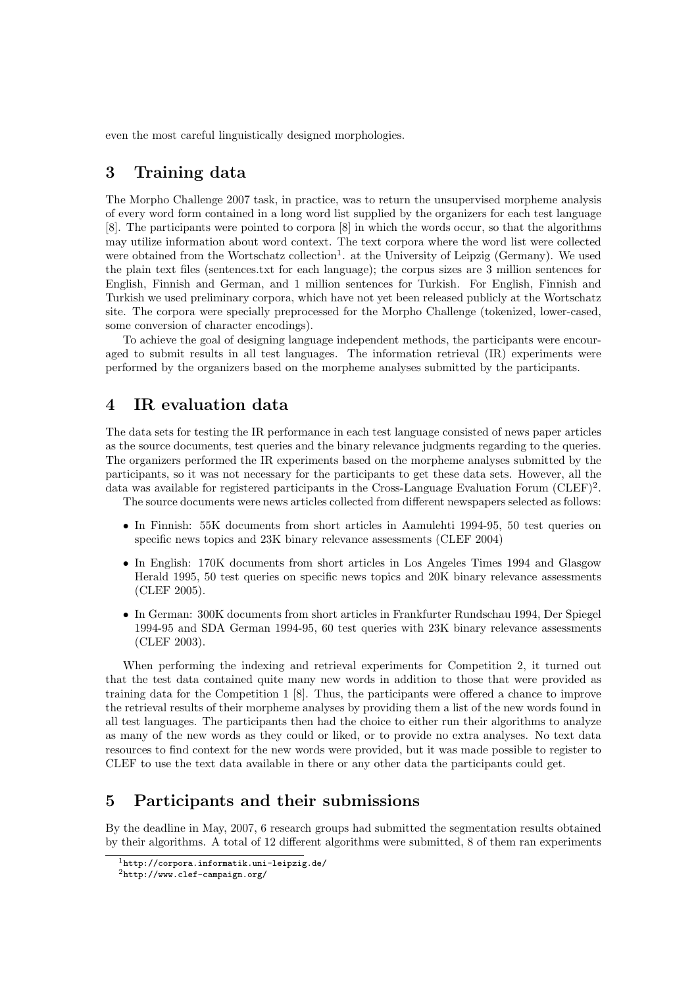even the most careful linguistically designed morphologies.

### 3 Training data

The Morpho Challenge 2007 task, in practice, was to return the unsupervised morpheme analysis of every word form contained in a long word list supplied by the organizers for each test language [8]. The participants were pointed to corpora [8] in which the words occur, so that the algorithms may utilize information about word context. The text corpora where the word list were collected were obtained from the Wortschatz collection<sup>1</sup>. at the University of Leipzig (Germany). We used the plain text files (sentences.txt for each language); the corpus sizes are 3 million sentences for English, Finnish and German, and 1 million sentences for Turkish. For English, Finnish and Turkish we used preliminary corpora, which have not yet been released publicly at the Wortschatz site. The corpora were specially preprocessed for the Morpho Challenge (tokenized, lower-cased, some conversion of character encodings).

To achieve the goal of designing language independent methods, the participants were encouraged to submit results in all test languages. The information retrieval (IR) experiments were performed by the organizers based on the morpheme analyses submitted by the participants.

#### 4 IR evaluation data

The data sets for testing the IR performance in each test language consisted of news paper articles as the source documents, test queries and the binary relevance judgments regarding to the queries. The organizers performed the IR experiments based on the morpheme analyses submitted by the participants, so it was not necessary for the participants to get these data sets. However, all the data was available for registered participants in the Cross-Language Evaluation Forum (CLEF)<sup>2</sup>.

The source documents were news articles collected from different newspapers selected as follows:

- In Finnish: 55K documents from short articles in Aamulehti 1994-95, 50 test queries on specific news topics and 23K binary relevance assessments (CLEF 2004)
- In English: 170K documents from short articles in Los Angeles Times 1994 and Glasgow Herald 1995, 50 test queries on specific news topics and 20K binary relevance assessments (CLEF 2005).
- In German: 300K documents from short articles in Frankfurter Rundschau 1994, Der Spiegel 1994-95 and SDA German 1994-95, 60 test queries with 23K binary relevance assessments (CLEF 2003).

When performing the indexing and retrieval experiments for Competition 2, it turned out that the test data contained quite many new words in addition to those that were provided as training data for the Competition 1 [8]. Thus, the participants were offered a chance to improve the retrieval results of their morpheme analyses by providing them a list of the new words found in all test languages. The participants then had the choice to either run their algorithms to analyze as many of the new words as they could or liked, or to provide no extra analyses. No text data resources to find context for the new words were provided, but it was made possible to register to CLEF to use the text data available in there or any other data the participants could get.

# 5 Participants and their submissions

By the deadline in May, 2007, 6 research groups had submitted the segmentation results obtained by their algorithms. A total of 12 different algorithms were submitted, 8 of them ran experiments

<sup>1</sup>http://corpora.informatik.uni-leipzig.de/

 $^{2}$ http://www.clef-campaign.org/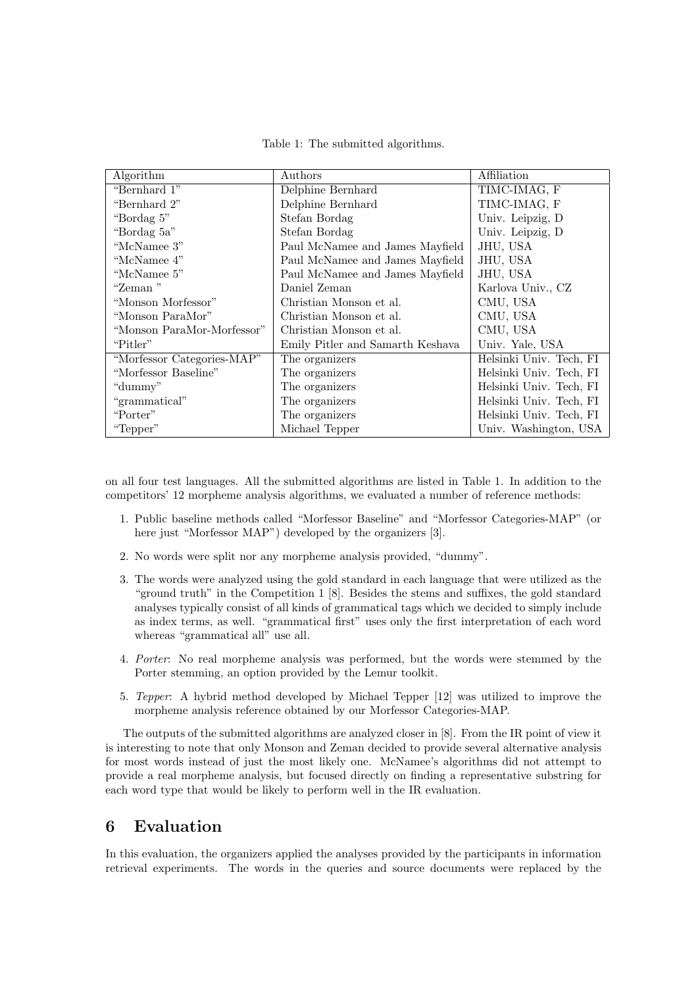Table 1: The submitted algorithms.

| Algorithm                  | Authors                          | Affiliation             |
|----------------------------|----------------------------------|-------------------------|
| "Bernhard 1"               | Delphine Bernhard                | TIMC-IMAG, F            |
| "Bernhard 2"               | Delphine Bernhard                | TIMC-IMAG, F            |
| "Bordag 5"                 | Stefan Bordag                    | Univ. Leipzig, D        |
| "Bordag 5a"                | Stefan Bordag                    | Univ. Leipzig, D        |
| "McNamee 3"                | Paul McNamee and James Mayfield  | JHU, USA                |
| "McNamee 4"                | Paul McNamee and James Mayfield  | JHU, USA                |
| "McNamee 5"                | Paul McNamee and James Mayfield  | JHU, USA                |
| "Zeman"                    | Daniel Zeman                     | Karlova Univ., CZ       |
| "Monson Morfessor"         | Christian Monson et al.          | CMU, USA                |
| "Monson ParaMor"           | Christian Monson et al.          | CMU, USA                |
| "Monson ParaMor-Morfessor" | Christian Monson et al.          | CMU, USA                |
| "Pitler"                   | Emily Pitler and Samarth Keshava | Univ. Yale, USA         |
| "Morfessor Categories-MAP" | The organizers                   | Helsinki Univ. Tech, FI |
| "Morfessor Baseline"       | The organizers                   | Helsinki Univ. Tech, FI |
| "dummy"                    | The organizers                   | Helsinki Univ. Tech, FI |
| "grammatical"              | The organizers                   | Helsinki Univ. Tech, FI |
| "Porter"                   | The organizers                   | Helsinki Univ. Tech, FI |
| "Tepper"                   | Michael Tepper                   | Univ. Washington, USA   |

on all four test languages. All the submitted algorithms are listed in Table 1. In addition to the competitors' 12 morpheme analysis algorithms, we evaluated a number of reference methods:

- 1. Public baseline methods called "Morfessor Baseline" and "Morfessor Categories-MAP" (or here just "Morfessor MAP") developed by the organizers [3].
- 2. No words were split nor any morpheme analysis provided, "dummy".
- 3. The words were analyzed using the gold standard in each language that were utilized as the "ground truth" in the Competition 1 [8]. Besides the stems and suffixes, the gold standard analyses typically consist of all kinds of grammatical tags which we decided to simply include as index terms, as well. "grammatical first" uses only the first interpretation of each word whereas "grammatical all" use all.
- 4. Porter: No real morpheme analysis was performed, but the words were stemmed by the Porter stemming, an option provided by the Lemur toolkit.
- 5. Tepper: A hybrid method developed by Michael Tepper [12] was utilized to improve the morpheme analysis reference obtained by our Morfessor Categories-MAP.

The outputs of the submitted algorithms are analyzed closer in [8]. From the IR point of view it is interesting to note that only Monson and Zeman decided to provide several alternative analysis for most words instead of just the most likely one. McNamee's algorithms did not attempt to provide a real morpheme analysis, but focused directly on finding a representative substring for each word type that would be likely to perform well in the IR evaluation.

# 6 Evaluation

In this evaluation, the organizers applied the analyses provided by the participants in information retrieval experiments. The words in the queries and source documents were replaced by the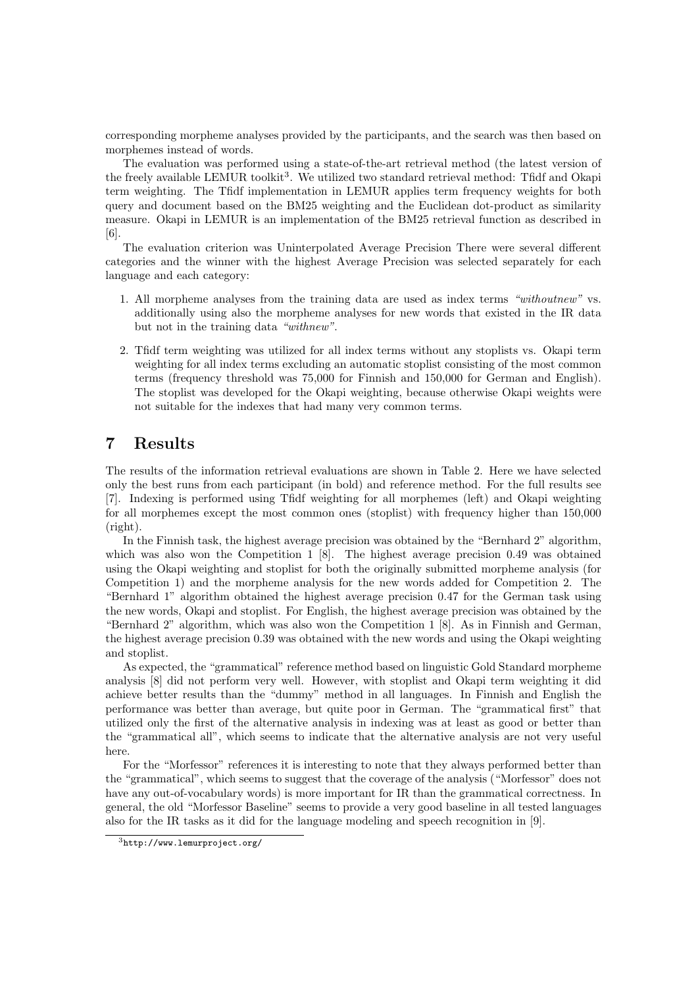corresponding morpheme analyses provided by the participants, and the search was then based on morphemes instead of words.

The evaluation was performed using a state-of-the-art retrieval method (the latest version of the freely available LEMUR toolkit<sup>3</sup>. We utilized two standard retrieval method: Tfidf and Okapi term weighting. The Tfidf implementation in LEMUR applies term frequency weights for both query and document based on the BM25 weighting and the Euclidean dot-product as similarity measure. Okapi in LEMUR is an implementation of the BM25 retrieval function as described in [6].

The evaluation criterion was Uninterpolated Average Precision There were several different categories and the winner with the highest Average Precision was selected separately for each language and each category:

- 1. All morpheme analyses from the training data are used as index terms "withoutnew" vs. additionally using also the morpheme analyses for new words that existed in the IR data but not in the training data "withnew".
- 2. Tfidf term weighting was utilized for all index terms without any stoplists vs. Okapi term weighting for all index terms excluding an automatic stoplist consisting of the most common terms (frequency threshold was 75,000 for Finnish and 150,000 for German and English). The stoplist was developed for the Okapi weighting, because otherwise Okapi weights were not suitable for the indexes that had many very common terms.

# 7 Results

The results of the information retrieval evaluations are shown in Table 2. Here we have selected only the best runs from each participant (in bold) and reference method. For the full results see [7]. Indexing is performed using Tfidf weighting for all morphemes (left) and Okapi weighting for all morphemes except the most common ones (stoplist) with frequency higher than 150,000 (right).

In the Finnish task, the highest average precision was obtained by the "Bernhard 2" algorithm, which was also won the Competition 1  $\vert 8 \vert$ . The highest average precision 0.49 was obtained using the Okapi weighting and stoplist for both the originally submitted morpheme analysis (for Competition 1) and the morpheme analysis for the new words added for Competition 2. The "Bernhard 1" algorithm obtained the highest average precision 0.47 for the German task using the new words, Okapi and stoplist. For English, the highest average precision was obtained by the "Bernhard 2" algorithm, which was also won the Competition 1 [8]. As in Finnish and German, the highest average precision 0.39 was obtained with the new words and using the Okapi weighting and stoplist.

As expected, the "grammatical" reference method based on linguistic Gold Standard morpheme analysis [8] did not perform very well. However, with stoplist and Okapi term weighting it did achieve better results than the "dummy" method in all languages. In Finnish and English the performance was better than average, but quite poor in German. The "grammatical first" that utilized only the first of the alternative analysis in indexing was at least as good or better than the "grammatical all", which seems to indicate that the alternative analysis are not very useful here.

For the "Morfessor" references it is interesting to note that they always performed better than the "grammatical", which seems to suggest that the coverage of the analysis ("Morfessor" does not have any out-of-vocabulary words) is more important for IR than the grammatical correctness. In general, the old "Morfessor Baseline" seems to provide a very good baseline in all tested languages also for the IR tasks as it did for the language modeling and speech recognition in [9].

<sup>3</sup>http://www.lemurproject.org/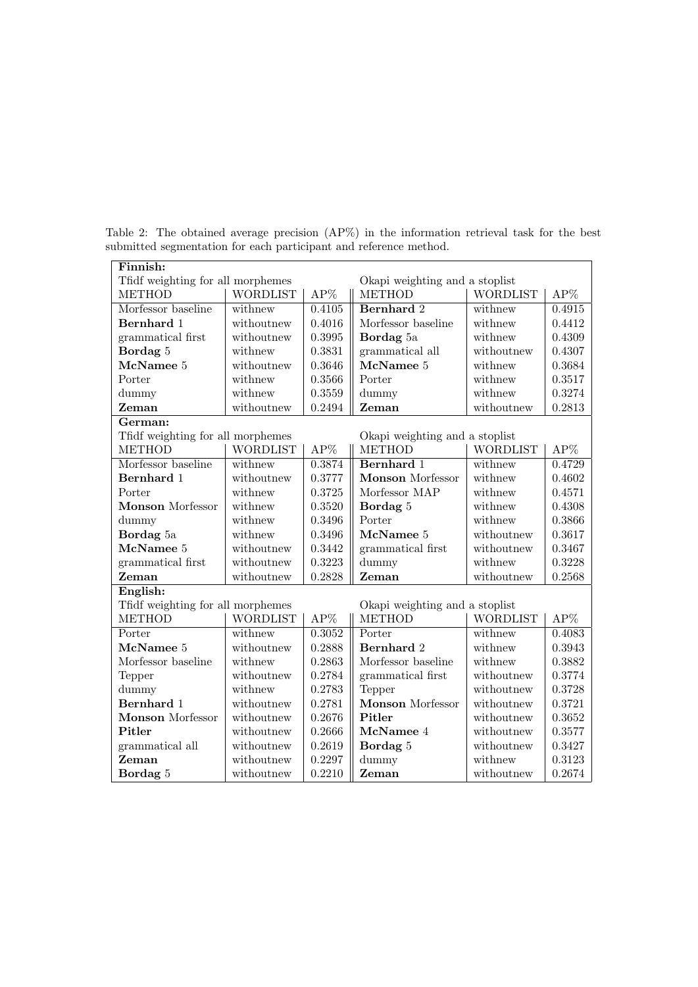| Finnish:                                                            |                 |                     |                                |                 |        |  |
|---------------------------------------------------------------------|-----------------|---------------------|--------------------------------|-----------------|--------|--|
| Tfidf weighting for all morphemes                                   |                 |                     | Okapi weighting and a stoplist |                 |        |  |
| <b>METHOD</b>                                                       | <b>WORDLIST</b> | $AP\%$              | <b>METHOD</b>                  | <b>WORDLIST</b> | $AP\%$ |  |
| Morfessor baseline                                                  | withnew         | $\overline{0.4105}$ | <b>Bernhard</b> 2              | withnew         | 0.4915 |  |
| Bernhard 1                                                          | withoutnew      | 0.4016              | Morfessor baseline             | withnew         | 0.4412 |  |
| grammatical first                                                   | withoutnew      | 0.3995              | Bordag 5a                      | withnew         | 0.4309 |  |
| Bordag 5                                                            | withnew         | 0.3831              | grammatical all                | withoutnew      | 0.4307 |  |
| McNamee 5                                                           | withoutnew      | 0.3646              | McNamee 5                      | withnew         | 0.3684 |  |
| Porter                                                              | withnew         | 0.3566              | Porter                         | withnew         | 0.3517 |  |
| dummy                                                               | withnew         | 0.3559              | dummy                          | withnew         | 0.3274 |  |
| Zeman                                                               | withoutnew      | 0.2494              | Zeman                          | withoutnew      | 0.2813 |  |
| German:                                                             |                 |                     |                                |                 |        |  |
| Tfidf weighting for all morphemes                                   |                 |                     | Okapi weighting and a stoplist |                 |        |  |
| <b>METHOD</b>                                                       | <b>WORDLIST</b> | $AP\%$              | <b>METHOD</b>                  | <b>WORDLIST</b> | $AP\%$ |  |
| Morfessor baseline                                                  | withnew         | 0.3874              | Bernhard 1                     | withnew         | 0.4729 |  |
| Bernhard 1                                                          | withoutnew      | 0.3777              | <b>Monson</b> Morfessor        | withnew         | 0.4602 |  |
| Porter                                                              | withnew         | 0.3725              | Morfessor MAP                  | withnew         | 0.4571 |  |
| <b>Monson</b> Morfessor                                             | withnew         | 0.3520              | Bordag 5                       | withnew         | 0.4308 |  |
| dummy                                                               | withnew         | 0.3496              | Porter                         | withnew         | 0.3866 |  |
| Bordag 5a                                                           | withnew         | 0.3496              | McNamee 5                      | withoutnew      | 0.3617 |  |
| McNamee 5                                                           | withoutnew      | 0.3442              | grammatical first              | withoutnew      | 0.3467 |  |
| grammatical first                                                   | withoutnew      | 0.3223              | dummy                          | withnew         | 0.3228 |  |
| Zeman                                                               | withoutnew      | 0.2828              | Zeman                          | withoutnew      | 0.2568 |  |
| English:                                                            |                 |                     |                                |                 |        |  |
| Tfidf weighting for all morphemes<br>Okapi weighting and a stoplist |                 |                     |                                |                 |        |  |
| <b>METHOD</b>                                                       | <b>WORDLIST</b> | $AP\%$              | <b>METHOD</b>                  | <b>WORDLIST</b> | $AP\%$ |  |
| Porter                                                              | withnew         | 0.3052              | Porter                         | withnew         | 0.4083 |  |
| McNamee 5                                                           | withoutnew      | 0.2888              | Bernhard 2                     | withnew         | 0.3943 |  |
| Morfessor baseline                                                  | withnew         | 0.2863              | Morfessor baseline             | withnew         | 0.3882 |  |
| Tepper                                                              | withoutnew      | 0.2784              | grammatical first              | withoutnew      | 0.3774 |  |
| dummy                                                               | withnew         | 0.2783              | Tepper                         | withoutnew      | 0.3728 |  |
| Bernhard 1                                                          | withoutnew      | 0.2781              | <b>Monson</b> Morfessor        | withoutnew      | 0.3721 |  |
| <b>Monson</b> Morfessor                                             | withoutnew      | 0.2676              | Pitler                         | withoutnew      | 0.3652 |  |
| Pitler                                                              | withoutnew      | 0.2666              | McNamee 4                      | withoutnew      | 0.3577 |  |
| grammatical all                                                     | withoutnew      | 0.2619              | Bordag 5                       | withoutnew      | 0.3427 |  |
| Zeman                                                               | withoutnew      | 0.2297              | dummy                          | withnew         | 0.3123 |  |
| Bordag 5                                                            | withoutnew      | 0.2210              | Zeman                          | withoutnew      | 0.2674 |  |

Table 2: The obtained average precision (AP%) in the information retrieval task for the best submitted segmentation for each participant and reference method.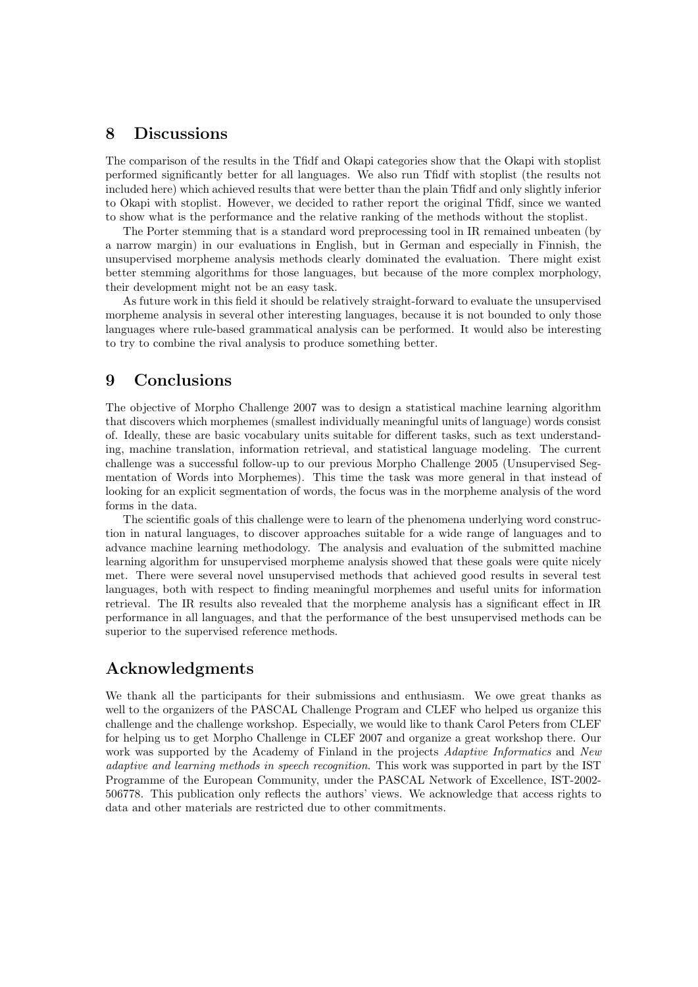### 8 Discussions

The comparison of the results in the Tfidf and Okapi categories show that the Okapi with stoplist performed significantly better for all languages. We also run Tfidf with stoplist (the results not included here) which achieved results that were better than the plain Tfidf and only slightly inferior to Okapi with stoplist. However, we decided to rather report the original Tfidf, since we wanted to show what is the performance and the relative ranking of the methods without the stoplist.

The Porter stemming that is a standard word preprocessing tool in IR remained unbeaten (by a narrow margin) in our evaluations in English, but in German and especially in Finnish, the unsupervised morpheme analysis methods clearly dominated the evaluation. There might exist better stemming algorithms for those languages, but because of the more complex morphology, their development might not be an easy task.

As future work in this field it should be relatively straight-forward to evaluate the unsupervised morpheme analysis in several other interesting languages, because it is not bounded to only those languages where rule-based grammatical analysis can be performed. It would also be interesting to try to combine the rival analysis to produce something better.

# 9 Conclusions

The objective of Morpho Challenge 2007 was to design a statistical machine learning algorithm that discovers which morphemes (smallest individually meaningful units of language) words consist of. Ideally, these are basic vocabulary units suitable for different tasks, such as text understanding, machine translation, information retrieval, and statistical language modeling. The current challenge was a successful follow-up to our previous Morpho Challenge 2005 (Unsupervised Segmentation of Words into Morphemes). This time the task was more general in that instead of looking for an explicit segmentation of words, the focus was in the morpheme analysis of the word forms in the data.

The scientific goals of this challenge were to learn of the phenomena underlying word construction in natural languages, to discover approaches suitable for a wide range of languages and to advance machine learning methodology. The analysis and evaluation of the submitted machine learning algorithm for unsupervised morpheme analysis showed that these goals were quite nicely met. There were several novel unsupervised methods that achieved good results in several test languages, both with respect to finding meaningful morphemes and useful units for information retrieval. The IR results also revealed that the morpheme analysis has a significant effect in IR performance in all languages, and that the performance of the best unsupervised methods can be superior to the supervised reference methods.

# Acknowledgments

We thank all the participants for their submissions and enthusiasm. We owe great thanks as well to the organizers of the PASCAL Challenge Program and CLEF who helped us organize this challenge and the challenge workshop. Especially, we would like to thank Carol Peters from CLEF for helping us to get Morpho Challenge in CLEF 2007 and organize a great workshop there. Our work was supported by the Academy of Finland in the projects Adaptive Informatics and New adaptive and learning methods in speech recognition. This work was supported in part by the IST Programme of the European Community, under the PASCAL Network of Excellence, IST-2002- 506778. This publication only reflects the authors' views. We acknowledge that access rights to data and other materials are restricted due to other commitments.